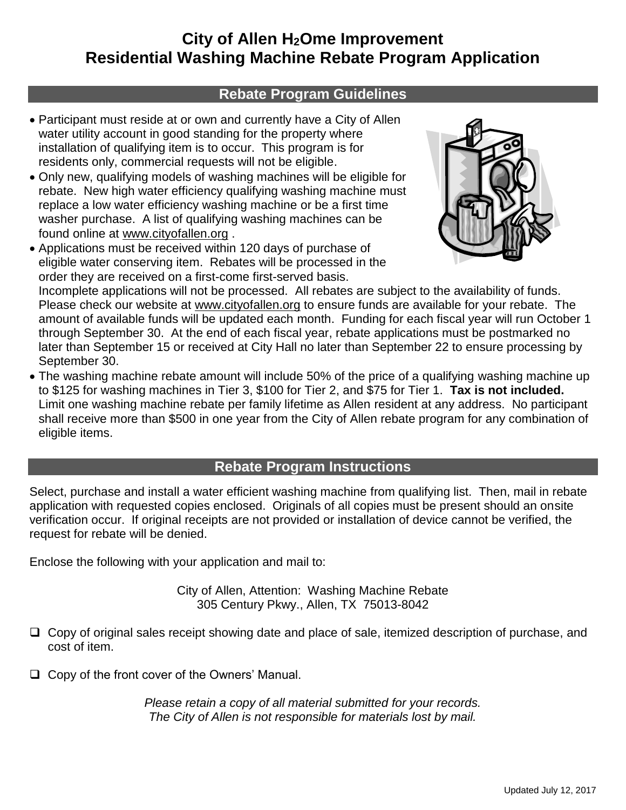# **City of Allen H2Ome Improvement Residential Washing Machine Rebate Program Application**

### **Rebate Program Guidelines**

- Participant must reside at or own and currently have a City of Allen water utility account in good standing for the property where installation of qualifying item is to occur. This program is for residents only, commercial requests will not be eligible.
- Only new, qualifying models of washing machines will be eligible for rebate. New high water efficiency qualifying washing machine must replace a low water efficiency washing machine or be a first time washer purchase. A list of qualifying washing machines can be found online at www.cityofallen.org .
- Applications must be received within 120 days of purchase of eligible water conserving item. Rebates will be processed in the order they are received on a first-come first-served basis.



Incomplete applications will not be processed. All rebates are subject to the availability of funds. Please check our website at www.cityofallen.org to ensure funds are available for your rebate. The amount of available funds will be updated each month. Funding for each fiscal year will run October 1 through September 30. At the end of each fiscal year, rebate applications must be postmarked no later than September 15 or received at City Hall no later than September 22 to ensure processing by September 30.

• The washing machine rebate amount will include 50% of the price of a qualifying washing machine up to \$125 for washing machines in Tier 3, \$100 for Tier 2, and \$75 for Tier 1. **Tax is not included.** Limit one washing machine rebate per family lifetime as Allen resident at any address. No participant shall receive more than \$500 in one year from the City of Allen rebate program for any combination of eligible items.

## **Rebate Program Instructions**

Select, purchase and install a water efficient washing machine from qualifying list. Then, mail in rebate application with requested copies enclosed. Originals of all copies must be present should an onsite verification occur. If original receipts are not provided or installation of device cannot be verified, the request for rebate will be denied.

Enclose the following with your application and mail to:

City of Allen, Attention: Washing Machine Rebate 305 Century Pkwy., Allen, TX 75013-8042

- $\Box$  Copy of original sales receipt showing date and place of sale, itemized description of purchase, and cost of item.
- $\Box$  Copy of the front cover of the Owners' Manual.

*Please retain a copy of all material submitted for your records. The City of Allen is not responsible for materials lost by mail.*